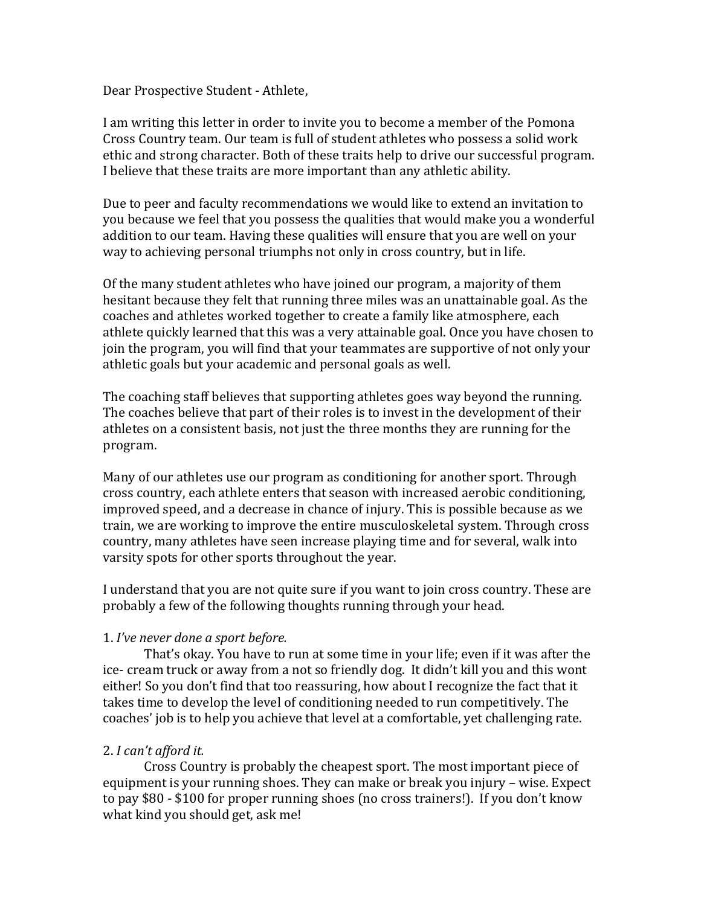Dear Prospective Student - Athlete,

I am writing this letter in order to invite you to become a member of the Pomona Cross Country team. Our team is full of student athletes who possess a solid work ethic and strong character. Both of these traits help to drive our successful program. I believe that these traits are more important than any athletic ability.

Due to peer and faculty recommendations we would like to extend an invitation to you because we feel that you possess the qualities that would make you a wonderful addition to our team. Having these qualities will ensure that you are well on your way to achieving personal triumphs not only in cross country, but in life.

Of the many student athletes who have joined our program, a majority of them hesitant because they felt that running three miles was an unattainable goal. As the coaches and athletes worked together to create a family like atmosphere, each athlete quickly learned that this was a very attainable goal. Once you have chosen to join the program, you will find that your teammates are supportive of not only your athletic goals but your academic and personal goals as well.

The coaching staff believes that supporting athletes goes way beyond the running. The coaches believe that part of their roles is to invest in the development of their athletes on a consistent basis, not just the three months they are running for the program. 

Many of our athletes use our program as conditioning for another sport. Through cross country, each athlete enters that season with increased aerobic conditioning, improved speed, and a decrease in chance of injury. This is possible because as we train, we are working to improve the entire musculoskeletal system. Through cross country, many athletes have seen increase playing time and for several, walk into varsity spots for other sports throughout the year.

I understand that you are not quite sure if you want to join cross country. These are probably a few of the following thoughts running through your head.

# 1. I've never done a sport before.

That's okay. You have to run at some time in your life; even if it was after the ice- cream truck or away from a not so friendly dog. It didn't kill you and this wont either! So you don't find that too reassuring, how about I recognize the fact that it takes time to develop the level of conditioning needed to run competitively. The coaches' job is to help you achieve that level at a comfortable, yet challenging rate.

# 2. *I can't afford it.*

Cross Country is probably the cheapest sport. The most important piece of equipment is your running shoes. They can make or break you injury – wise. Expect to pay \$80 - \$100 for proper running shoes (no cross trainers!). If you don't know what kind you should get, ask me!